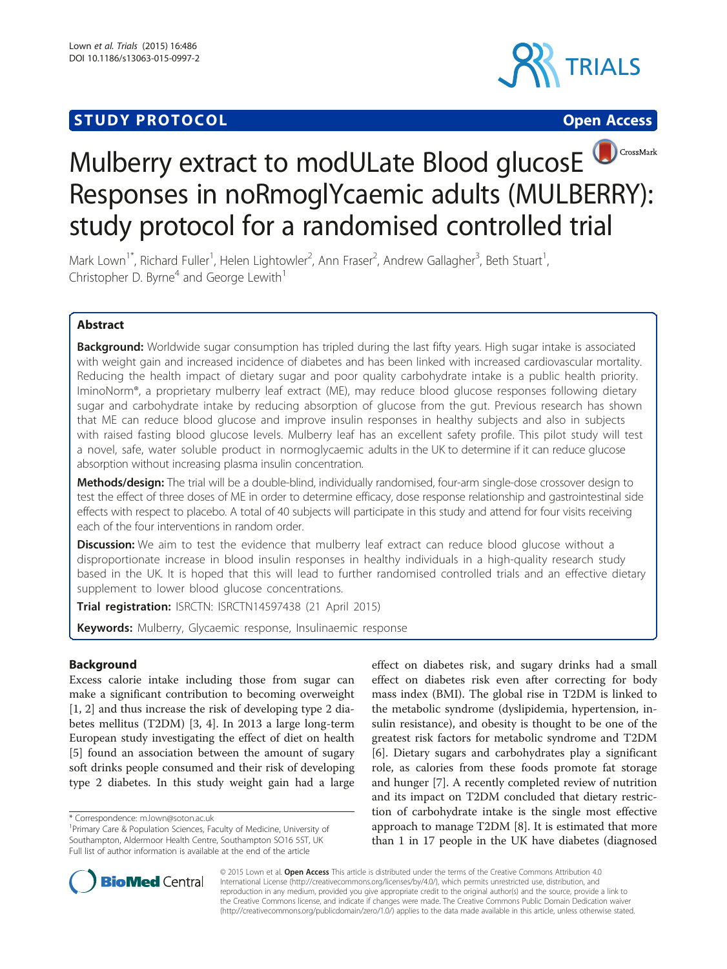## **STUDY PROTOCOL CONSUMING THE CONSUMING OPEN ACCESS**





# Mulberry extract to modULate Blood glucosE Responses in noRmoglYcaemic adults (MULBERRY): study protocol for a randomised controlled trial

Mark Lown<sup>1\*</sup>, Richard Fuller<sup>1</sup>, Helen Lightowler<sup>2</sup>, Ann Fraser<sup>2</sup>, Andrew Gallagher<sup>3</sup>, Beth Stuart<sup>1</sup> , Christopher D. Byrne<sup>4</sup> and George Lewith<sup>1</sup>

## Abstract

Background: Worldwide sugar consumption has tripled during the last fifty years. High sugar intake is associated with weight gain and increased incidence of diabetes and has been linked with increased cardiovascular mortality. Reducing the health impact of dietary sugar and poor quality carbohydrate intake is a public health priority. IminoNorm®, a proprietary mulberry leaf extract (ME), may reduce blood glucose responses following dietary sugar and carbohydrate intake by reducing absorption of glucose from the gut. Previous research has shown that ME can reduce blood glucose and improve insulin responses in healthy subjects and also in subjects with raised fasting blood glucose levels. Mulberry leaf has an excellent safety profile. This pilot study will test a novel, safe, water soluble product in normoglycaemic adults in the UK to determine if it can reduce glucose absorption without increasing plasma insulin concentration.

Methods/design: The trial will be a double-blind, individually randomised, four-arm single-dose crossover design to test the effect of three doses of ME in order to determine efficacy, dose response relationship and gastrointestinal side effects with respect to placebo. A total of 40 subjects will participate in this study and attend for four visits receiving each of the four interventions in random order.

**Discussion:** We aim to test the evidence that mulberry leaf extract can reduce blood glucose without a disproportionate increase in blood insulin responses in healthy individuals in a high-quality research study based in the UK. It is hoped that this will lead to further randomised controlled trials and an effective dietary supplement to lower blood glucose concentrations.

Trial registration: ISRCTN: [ISRCTN14597438](http://www.isrctn.com/ISRCTN14597438) (21 April 2015)

Keywords: Mulberry, Glycaemic response, Insulinaemic response

## Background

Excess calorie intake including those from sugar can make a significant contribution to becoming overweight [[1, 2\]](#page-4-0) and thus increase the risk of developing type 2 diabetes mellitus (T2DM) [\[3](#page-4-0), [4\]](#page-4-0). In 2013 a large long-term European study investigating the effect of diet on health [[5\]](#page-4-0) found an association between the amount of sugary soft drinks people consumed and their risk of developing type 2 diabetes. In this study weight gain had a large

effect on diabetes risk, and sugary drinks had a small effect on diabetes risk even after correcting for body mass index (BMI). The global rise in T2DM is linked to the metabolic syndrome (dyslipidemia, hypertension, insulin resistance), and obesity is thought to be one of the greatest risk factors for metabolic syndrome and T2DM [[6\]](#page-4-0). Dietary sugars and carbohydrates play a significant role, as calories from these foods promote fat storage and hunger [[7\]](#page-4-0). A recently completed review of nutrition and its impact on T2DM concluded that dietary restriction of carbohydrate intake is the single most effective approach to manage T2DM [\[8](#page-5-0)]. It is estimated that more than 1 in 17 people in the UK have diabetes (diagnosed



© 2015 Lown et al. Open Access This article is distributed under the terms of the Creative Commons Attribution 4.0 International License [\(http://creativecommons.org/licenses/by/4.0/](http://creativecommons.org/licenses/by/4.0/)), which permits unrestricted use, distribution, and reproduction in any medium, provided you give appropriate credit to the original author(s) and the source, provide a link to the Creative Commons license, and indicate if changes were made. The Creative Commons Public Domain Dedication waiver [\(http://creativecommons.org/publicdomain/zero/1.0/](http://creativecommons.org/publicdomain/zero/1.0/)) applies to the data made available in this article, unless otherwise stated.

<sup>\*</sup> Correspondence: [m.lown@soton.ac.uk](mailto:m.lown@soton.ac.uk) <sup>1</sup>

<sup>&</sup>lt;sup>1</sup> Primary Care & Population Sciences, Faculty of Medicine, University of Southampton, Aldermoor Health Centre, Southampton SO16 5ST, UK Full list of author information is available at the end of the article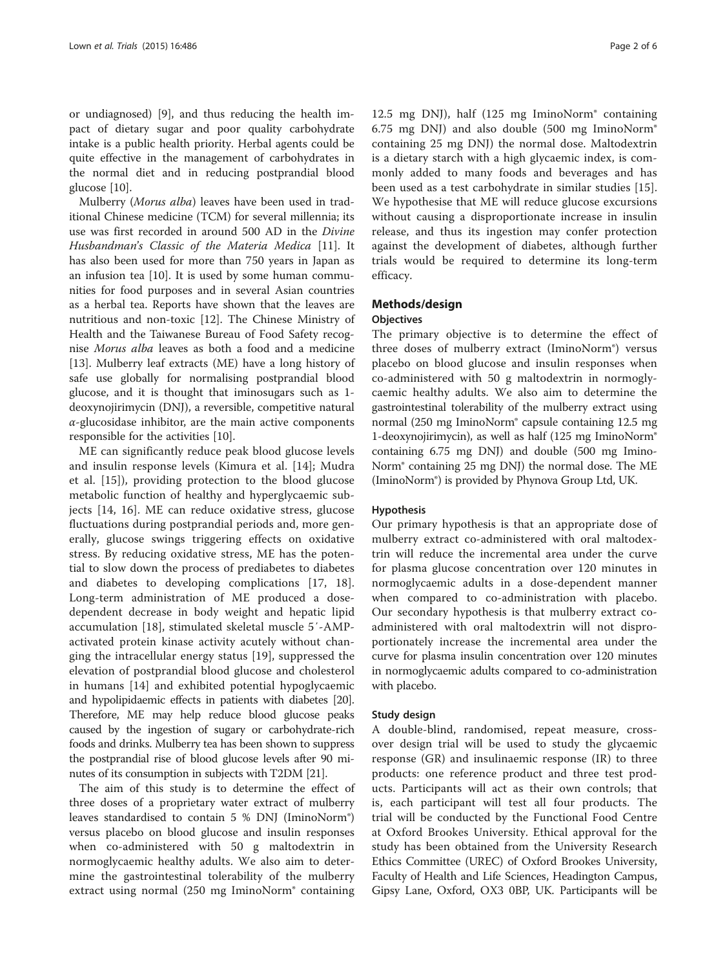or undiagnosed) [\[9](#page-5-0)], and thus reducing the health impact of dietary sugar and poor quality carbohydrate intake is a public health priority. Herbal agents could be quite effective in the management of carbohydrates in the normal diet and in reducing postprandial blood glucose [\[10\]](#page-5-0).

Mulberry (Morus alba) leaves have been used in traditional Chinese medicine (TCM) for several millennia; its use was first recorded in around 500 AD in the Divine Husbandman's Classic of the Materia Medica [[11](#page-5-0)]. It has also been used for more than 750 years in Japan as an infusion tea [\[10\]](#page-5-0). It is used by some human communities for food purposes and in several Asian countries as a herbal tea. Reports have shown that the leaves are nutritious and non-toxic [\[12](#page-5-0)]. The Chinese Ministry of Health and the Taiwanese Bureau of Food Safety recognise Morus alba leaves as both a food and a medicine [[13\]](#page-5-0). Mulberry leaf extracts (ME) have a long history of safe use globally for normalising postprandial blood glucose, and it is thought that iminosugars such as 1 deoxynojirimycin (DNJ), a reversible, competitive natural  $\alpha$ -glucosidase inhibitor, are the main active components responsible for the activities [[10](#page-5-0)].

ME can significantly reduce peak blood glucose levels and insulin response levels (Kimura et al. [[14\]](#page-5-0); Mudra et al. [[15\]](#page-5-0)), providing protection to the blood glucose metabolic function of healthy and hyperglycaemic subjects [[14, 16](#page-5-0)]. ME can reduce oxidative stress, glucose fluctuations during postprandial periods and, more generally, glucose swings triggering effects on oxidative stress. By reducing oxidative stress, ME has the potential to slow down the process of prediabetes to diabetes and diabetes to developing complications [[17, 18](#page-5-0)]. Long-term administration of ME produced a dosedependent decrease in body weight and hepatic lipid accumulation [[18\]](#page-5-0), stimulated skeletal muscle 5′-AMPactivated protein kinase activity acutely without changing the intracellular energy status [[19\]](#page-5-0), suppressed the elevation of postprandial blood glucose and cholesterol in humans [\[14](#page-5-0)] and exhibited potential hypoglycaemic and hypolipidaemic effects in patients with diabetes [[20](#page-5-0)]. Therefore, ME may help reduce blood glucose peaks caused by the ingestion of sugary or carbohydrate-rich foods and drinks. Mulberry tea has been shown to suppress the postprandial rise of blood glucose levels after 90 minutes of its consumption in subjects with T2DM [[21](#page-5-0)].

The aim of this study is to determine the effect of three doses of a proprietary water extract of mulberry leaves standardised to contain 5 % DNJ (IminoNorm®) versus placebo on blood glucose and insulin responses when co-administered with 50 g maltodextrin in normoglycaemic healthy adults. We also aim to determine the gastrointestinal tolerability of the mulberry extract using normal (250 mg IminoNorm® containing

12.5 mg DNJ), half (125 mg IminoNorm® containing 6.75 mg DNJ) and also double (500 mg IminoNorm® containing 25 mg DNJ) the normal dose. Maltodextrin is a dietary starch with a high glycaemic index, is commonly added to many foods and beverages and has been used as a test carbohydrate in similar studies [\[15](#page-5-0)]. We hypothesise that ME will reduce glucose excursions without causing a disproportionate increase in insulin release, and thus its ingestion may confer protection against the development of diabetes, although further trials would be required to determine its long-term efficacy.

## Methods/design

## **Objectives**

The primary objective is to determine the effect of three doses of mulberry extract (IminoNorm®) versus placebo on blood glucose and insulin responses when co-administered with 50 g maltodextrin in normoglycaemic healthy adults. We also aim to determine the gastrointestinal tolerability of the mulberry extract using normal (250 mg IminoNorm® capsule containing 12.5 mg 1-deoxynojirimycin), as well as half (125 mg IminoNorm® containing 6.75 mg DNJ) and double (500 mg Imino-Norm® containing 25 mg DNJ) the normal dose. The ME (IminoNorm®) is provided by Phynova Group Ltd, UK.

## Hypothesis

Our primary hypothesis is that an appropriate dose of mulberry extract co-administered with oral maltodextrin will reduce the incremental area under the curve for plasma glucose concentration over 120 minutes in normoglycaemic adults in a dose-dependent manner when compared to co-administration with placebo. Our secondary hypothesis is that mulberry extract coadministered with oral maltodextrin will not disproportionately increase the incremental area under the curve for plasma insulin concentration over 120 minutes in normoglycaemic adults compared to co-administration with placebo.

## Study design

A double-blind, randomised, repeat measure, crossover design trial will be used to study the glycaemic response (GR) and insulinaemic response (IR) to three products: one reference product and three test products. Participants will act as their own controls; that is, each participant will test all four products. The trial will be conducted by the Functional Food Centre at Oxford Brookes University. Ethical approval for the study has been obtained from the University Research Ethics Committee (UREC) of Oxford Brookes University, Faculty of Health and Life Sciences, Headington Campus, Gipsy Lane, Oxford, OX3 0BP, UK. Participants will be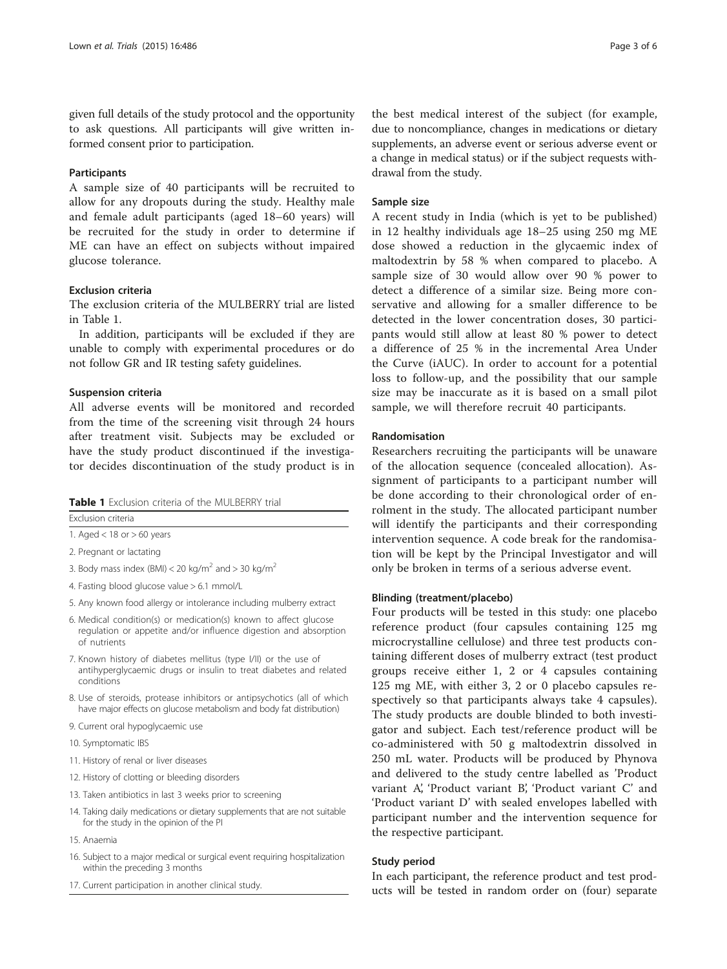given full details of the study protocol and the opportunity to ask questions. All participants will give written informed consent prior to participation.

## Participants

A sample size of 40 participants will be recruited to allow for any dropouts during the study. Healthy male and female adult participants (aged 18–60 years) will be recruited for the study in order to determine if ME can have an effect on subjects without impaired glucose tolerance.

## Exclusion criteria

The exclusion criteria of the MULBERRY trial are listed in Table 1.

In addition, participants will be excluded if they are unable to comply with experimental procedures or do not follow GR and IR testing safety guidelines.

## Suspension criteria

All adverse events will be monitored and recorded from the time of the screening visit through 24 hours after treatment visit. Subjects may be excluded or have the study product discontinued if the investigator decides discontinuation of the study product is in

| <b>Table 1</b> Exclusion criteria of the MULBERRY trial |
|---------------------------------------------------------|
|---------------------------------------------------------|

1. Aged < 18 or > 60 years

- 3. Body mass index (BMI) < 20 kg/m<sup>2</sup> and > 30 kg/m<sup>2</sup>
- 4. Fasting blood glucose value > 6.1 mmol/L
- 5. Any known food allergy or intolerance including mulberry extract
- 6. Medical condition(s) or medication(s) known to affect glucose regulation or appetite and/or influence digestion and absorption of nutrients
- 7. Known history of diabetes mellitus (type I/II) or the use of antihyperglycaemic drugs or insulin to treat diabetes and related conditions
- 8. Use of steroids, protease inhibitors or antipsychotics (all of which have major effects on glucose metabolism and body fat distribution)
- 9. Current oral hypoglycaemic use
- 10. Symptomatic IBS
- 11. History of renal or liver diseases
- 12. History of clotting or bleeding disorders
- 13. Taken antibiotics in last 3 weeks prior to screening
- 14. Taking daily medications or dietary supplements that are not suitable for the study in the opinion of the PI
- 15. Anaemia
- 16. Subject to a major medical or surgical event requiring hospitalization within the preceding 3 months
- 17. Current participation in another clinical study.

the best medical interest of the subject (for example, due to noncompliance, changes in medications or dietary supplements, an adverse event or serious adverse event or a change in medical status) or if the subject requests withdrawal from the study.

## Sample size

A recent study in India (which is yet to be published) in 12 healthy individuals age 18–25 using 250 mg ME dose showed a reduction in the glycaemic index of maltodextrin by 58 % when compared to placebo. A sample size of 30 would allow over 90 % power to detect a difference of a similar size. Being more conservative and allowing for a smaller difference to be detected in the lower concentration doses, 30 participants would still allow at least 80 % power to detect a difference of 25 % in the incremental Area Under the Curve (iAUC). In order to account for a potential loss to follow-up, and the possibility that our sample size may be inaccurate as it is based on a small pilot sample, we will therefore recruit 40 participants.

## Randomisation

Researchers recruiting the participants will be unaware of the allocation sequence (concealed allocation). Assignment of participants to a participant number will be done according to their chronological order of enrolment in the study. The allocated participant number will identify the participants and their corresponding intervention sequence. A code break for the randomisation will be kept by the Principal Investigator and will only be broken in terms of a serious adverse event.

## Blinding (treatment/placebo)

Four products will be tested in this study: one placebo reference product (four capsules containing 125 mg microcrystalline cellulose) and three test products containing different doses of mulberry extract (test product groups receive either 1, 2 or 4 capsules containing 125 mg ME, with either 3, 2 or 0 placebo capsules respectively so that participants always take 4 capsules). The study products are double blinded to both investigator and subject. Each test/reference product will be co-administered with 50 g maltodextrin dissolved in 250 mL water. Products will be produced by Phynova and delivered to the study centre labelled as 'Product variant A', 'Product variant B', 'Product variant C' and 'Product variant D' with sealed envelopes labelled with participant number and the intervention sequence for the respective participant.

## Study period

In each participant, the reference product and test products will be tested in random order on (four) separate

<sup>2.</sup> Pregnant or lactating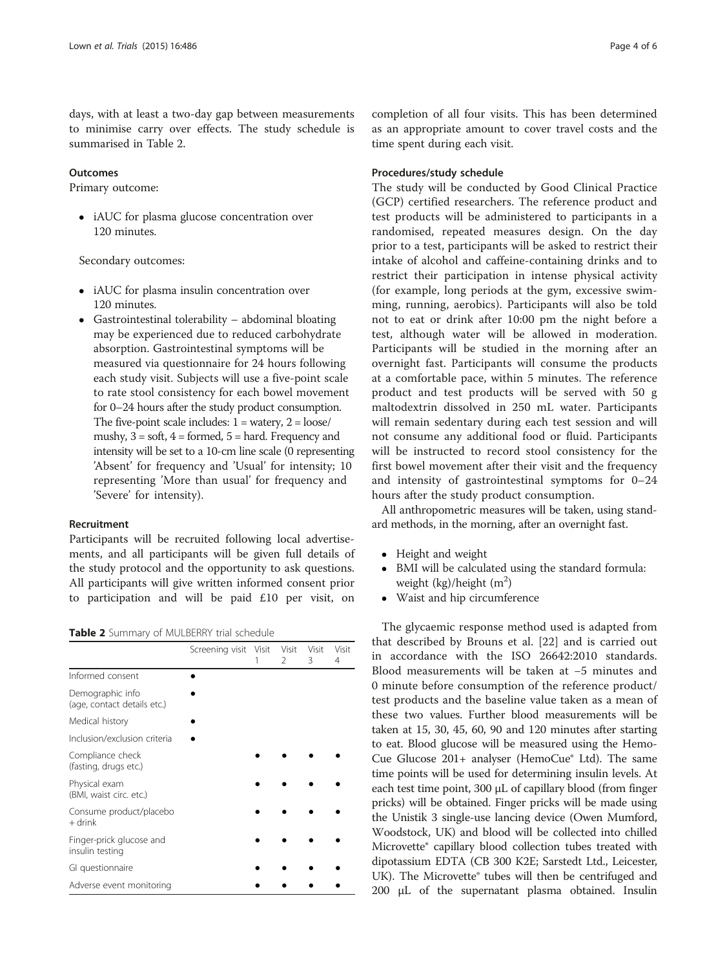## **Outcomes**

Primary outcome:

• iAUC for plasma glucose concentration over 120 minutes.

Secondary outcomes:

- iAUC for plasma insulin concentration over 120 minutes.
- Gastrointestinal tolerability abdominal bloating may be experienced due to reduced carbohydrate absorption. Gastrointestinal symptoms will be measured via questionnaire for 24 hours following each study visit. Subjects will use a five-point scale to rate stool consistency for each bowel movement for 0–24 hours after the study product consumption. The five-point scale includes:  $1 = \text{watery}, 2 = \text{loose/}$ mushy,  $3 = \text{soft}$ ,  $4 = \text{formed}$ ,  $5 = \text{hard}$ . Frequency and intensity will be set to a 10-cm line scale (0 representing 'Absent' for frequency and 'Usual' for intensity; 10 representing 'More than usual' for frequency and 'Severe' for intensity).

## Recruitment

Participants will be recruited following local advertisements, and all participants will be given full details of the study protocol and the opportunity to ask questions. All participants will give written informed consent prior to participation and will be paid £10 per visit, on

Table 2 Summary of MULBERRY trial schedule

|                                                 | Screening visit Visit Visit | 2 | Visit<br>3 | Visit<br>4 |
|-------------------------------------------------|-----------------------------|---|------------|------------|
|                                                 |                             |   |            |            |
| Informed consent                                |                             |   |            |            |
| Demographic info<br>(age, contact details etc.) |                             |   |            |            |
| Medical history                                 |                             |   |            |            |
| Inclusion/exclusion criteria                    |                             |   |            |            |
| Compliance check<br>(fasting, drugs etc.)       |                             |   |            |            |
| Physical exam<br>(BMI, waist circ. etc.)        |                             |   |            |            |
| Consume product/placebo<br>$+$ drink            |                             |   |            |            |
| Finger-prick glucose and<br>insulin testing     |                             |   |            |            |
| GI questionnaire                                |                             |   |            |            |
| Adverse event monitoring                        |                             |   |            |            |

completion of all four visits. This has been determined as an appropriate amount to cover travel costs and the time spent during each visit.

## Procedures/study schedule

The study will be conducted by Good Clinical Practice (GCP) certified researchers. The reference product and test products will be administered to participants in a randomised, repeated measures design. On the day prior to a test, participants will be asked to restrict their intake of alcohol and caffeine-containing drinks and to restrict their participation in intense physical activity (for example, long periods at the gym, excessive swimming, running, aerobics). Participants will also be told not to eat or drink after 10:00 pm the night before a test, although water will be allowed in moderation. Participants will be studied in the morning after an overnight fast. Participants will consume the products at a comfortable pace, within 5 minutes. The reference product and test products will be served with 50 g maltodextrin dissolved in 250 mL water. Participants will remain sedentary during each test session and will not consume any additional food or fluid. Participants will be instructed to record stool consistency for the first bowel movement after their visit and the frequency and intensity of gastrointestinal symptoms for 0–24 hours after the study product consumption.

All anthropometric measures will be taken, using standard methods, in the morning, after an overnight fast.

- Height and weight
- BMI will be calculated using the standard formula: weight  $(kg)/height$  (m<sup>2</sup>)
- Waist and hip circumference

The glycaemic response method used is adapted from that described by Brouns et al. [[22\]](#page-5-0) and is carried out in accordance with the ISO 26642:2010 standards. Blood measurements will be taken at −5 minutes and 0 minute before consumption of the reference product/ test products and the baseline value taken as a mean of these two values. Further blood measurements will be taken at 15, 30, 45, 60, 90 and 120 minutes after starting to eat. Blood glucose will be measured using the Hemo-Cue Glucose 201+ analyser (HemoCue® Ltd). The same time points will be used for determining insulin levels. At each test time point, 300 μL of capillary blood (from finger pricks) will be obtained. Finger pricks will be made using the Unistik 3 single-use lancing device (Owen Mumford, Woodstock, UK) and blood will be collected into chilled Microvette® capillary blood collection tubes treated with dipotassium EDTA (CB 300 K2E; Sarstedt Ltd., Leicester, UK). The Microvette<sup>®</sup> tubes will then be centrifuged and 200 μL of the supernatant plasma obtained. Insulin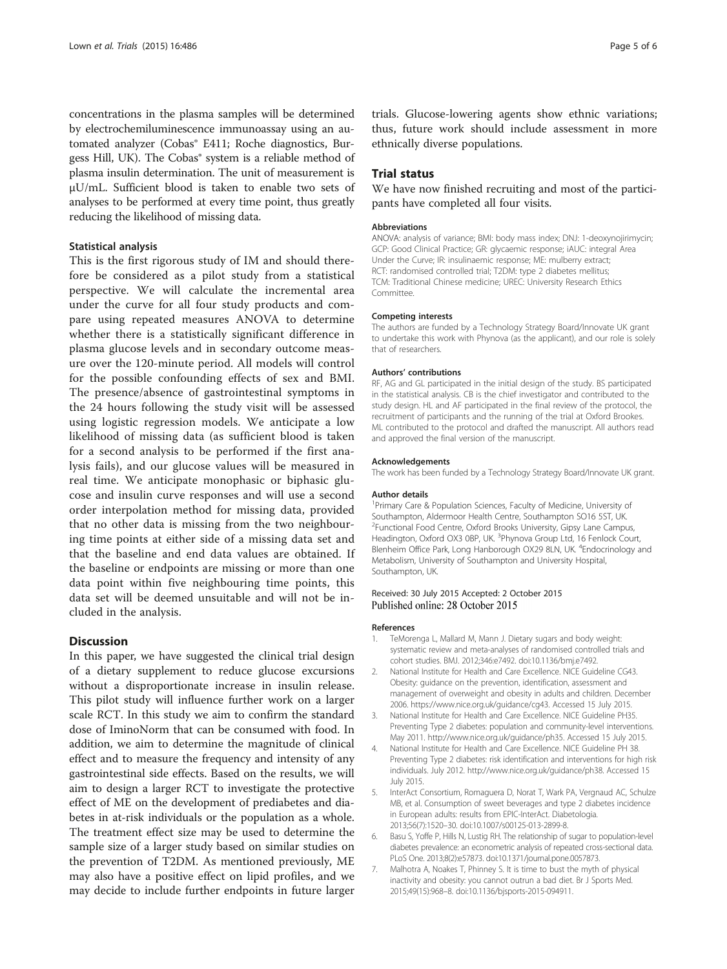<span id="page-4-0"></span>concentrations in the plasma samples will be determined by electrochemiluminescence immunoassay using an automated analyzer (Cobas<sup>®</sup> E411; Roche diagnostics, Burgess Hill, UK). The Cobas® system is a reliable method of plasma insulin determination. The unit of measurement is μU/mL. Sufficient blood is taken to enable two sets of analyses to be performed at every time point, thus greatly reducing the likelihood of missing data.

## Statistical analysis

This is the first rigorous study of IM and should therefore be considered as a pilot study from a statistical perspective. We will calculate the incremental area under the curve for all four study products and compare using repeated measures ANOVA to determine whether there is a statistically significant difference in plasma glucose levels and in secondary outcome measure over the 120-minute period. All models will control for the possible confounding effects of sex and BMI. The presence/absence of gastrointestinal symptoms in the 24 hours following the study visit will be assessed using logistic regression models. We anticipate a low likelihood of missing data (as sufficient blood is taken for a second analysis to be performed if the first analysis fails), and our glucose values will be measured in real time. We anticipate monophasic or biphasic glucose and insulin curve responses and will use a second order interpolation method for missing data, provided that no other data is missing from the two neighbouring time points at either side of a missing data set and that the baseline and end data values are obtained. If the baseline or endpoints are missing or more than one data point within five neighbouring time points, this data set will be deemed unsuitable and will not be included in the analysis.

## **Discussion**

In this paper, we have suggested the clinical trial design of a dietary supplement to reduce glucose excursions without a disproportionate increase in insulin release. This pilot study will influence further work on a larger scale RCT. In this study we aim to confirm the standard dose of IminoNorm that can be consumed with food. In addition, we aim to determine the magnitude of clinical effect and to measure the frequency and intensity of any gastrointestinal side effects. Based on the results, we will aim to design a larger RCT to investigate the protective effect of ME on the development of prediabetes and diabetes in at-risk individuals or the population as a whole. The treatment effect size may be used to determine the sample size of a larger study based on similar studies on the prevention of T2DM. As mentioned previously, ME may also have a positive effect on lipid profiles, and we may decide to include further endpoints in future larger trials. Glucose-lowering agents show ethnic variations; thus, future work should include assessment in more ethnically diverse populations.

## Trial status

We have now finished recruiting and most of the participants have completed all four visits.

#### Abbreviations

ANOVA: analysis of variance; BMI: body mass index; DNJ: 1-deoxynojirimycin; GCP: Good Clinical Practice; GR: glycaemic response; iAUC: integral Area Under the Curve; IR: insulinaemic response; ME: mulberry extract; RCT: randomised controlled trial; T2DM: type 2 diabetes mellitus; TCM: Traditional Chinese medicine; UREC: University Research Ethics **Committee** 

#### Competing interests

The authors are funded by a Technology Strategy Board/Innovate UK grant to undertake this work with Phynova (as the applicant), and our role is solely that of researchers.

## Authors' contributions

RF, AG and GL participated in the initial design of the study. BS participated in the statistical analysis. CB is the chief investigator and contributed to the study design. HL and AF participated in the final review of the protocol, the recruitment of participants and the running of the trial at Oxford Brookes. ML contributed to the protocol and drafted the manuscript. All authors read and approved the final version of the manuscript.

#### Acknowledgements

The work has been funded by a Technology Strategy Board/Innovate UK grant.

#### Author details

<sup>1</sup> Primary Care & Population Sciences, Faculty of Medicine, University of Southampton, Aldermoor Health Centre, Southampton SO16 5ST, UK. <sup>2</sup> Functional Food Centre, Oxford Brooks University, Gipsy Lane Campus, Headington, Oxford OX3 0BP, UK. <sup>3</sup>Phynova Group Ltd, 16 Fenlock Court, Blenheim Office Park, Long Hanborough OX29 8LN, UK. <sup>4</sup>Endocrinology and Metabolism, University of Southampton and University Hospital, Southampton, UK.

## Received: 30 July 2015 Accepted: 2 October 2015 Published online: 28 October 2015

## References

- TeMorenga L, Mallard M, Mann J. Dietary sugars and body weight: systematic review and meta-analyses of randomised controlled trials and cohort studies. BMJ. 2012;346:e7492. doi[:10.1136/bmj.e7492.](http://dx.doi.org/10.1136/bmj.e7492)
- 2. National Institute for Health and Care Excellence. NICE Guideline CG43. Obesity: guidance on the prevention, identification, assessment and management of overweight and obesity in adults and children. December 2006. [https://www.nice.org.uk/guidance/cg43.](https://www.nice.org.uk/guidance/cg43) Accessed 15 July 2015.
- 3. National Institute for Health and Care Excellence. NICE Guideline PH35. Preventing Type 2 diabetes: population and community-level interventions. May 2011. [http://www.nice.org.uk/guidance/ph35.](http://www.nice.org.uk/guidance/ph35) Accessed 15 July 2015.
- National Institute for Health and Care Excellence. NICE Guideline PH 38. Preventing Type 2 diabetes: risk identification and interventions for high risk individuals. July 2012. [http://www.nice.org.uk/guidance/ph38.](http://www.nice.org.uk/guidance/ph38) Accessed 15 July 2015.
- 5. InterAct Consortium, Romaguera D, Norat T, Wark PA, Vergnaud AC, Schulze MB, et al. Consumption of sweet beverages and type 2 diabetes incidence in European adults: results from EPIC-InterAct. Diabetologia. 2013;56(7):1520–30. doi[:10.1007/s00125-013-2899-8.](http://dx.doi.org/10.1007/s00125-013-2899-8)
- 6. Basu S, Yoffe P, Hills N, Lustig RH. The relationship of sugar to population-level diabetes prevalence: an econometric analysis of repeated cross-sectional data. PLoS One. 2013;8(2):e57873. doi[:10.1371/journal.pone.0057873.](http://dx.doi.org/10.1371/journal.pone.0057873)
- 7. Malhotra A, Noakes T, Phinney S. It is time to bust the myth of physical inactivity and obesity: you cannot outrun a bad diet. Br J Sports Med. 2015;49(15):968–8. doi:[10.1136/bjsports-2015-094911.](http://dx.doi.org/10.1136/bjsports-2015-094911)